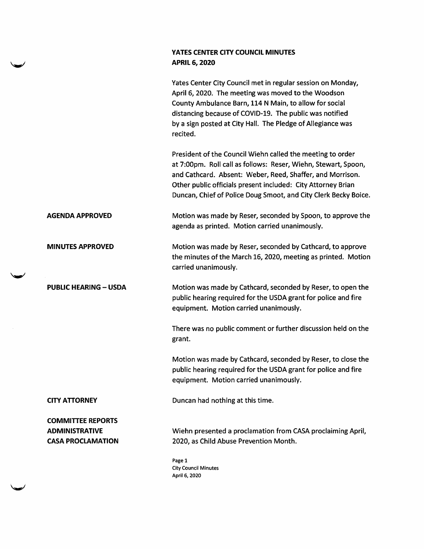## YATES CENTER CITY COUNCIL MINUTES APRIL 6, 2020

Yates Center City Council met in regular session on Monday, April 6, 2020, The meeting was moved to the Woodson County Ambulance Barn, 114 N Main, to allow for social distancing because of COVID-19. The public was notified by a sign posted at City Hall. The Pledge of Allegiance was recited.

President of the Council Wiehn called the meeting to order at 7:00pm. Roll call as follows: Reser, Wiehn, Stewart, Spoon, and Cathcard. Absent: Weber, Reed, Shaffer, and Morrison. Other public officials present included: City Attorney Brian Duncan, Chief of Police Doug Smoot, and City Clerk Becky Boice.

AGENDA APPROVED Motion was made by Reser, seconded by Spoon, to approve the agenda as printed. Motion carried unanimously.

MINUTES APPROVED Motion was made by Reser, seconded by Cathcard, to approve the minutes of the March 16, 2020, meeting as printed. Motion carried unanimously.

PUBLIC HEARING - USDA Motion was made by Cathcard, seconded by Reser, to open the public hearing required for the USDA grant for police and fire equipment. Motion carried unanimously.

> There was no public comment or further discussion held on the grant.

> Motion was made by Cathcard, seconded by Reser, to close the public hearing required for the USDA grant for police and fire equipment. Motion carried unanimously.

**World** 

w

CITY ATTORNEY Duncan had nothing at this time.

COMMITTEE REPORTS ADMINISTRATIVE CASA PROCLAMATION

Wiehn presented a proclamation from CASA proclaiming April, 2020, as Child Abuse Prevention Month.

Page 1 City Council Minutes April 6, 2020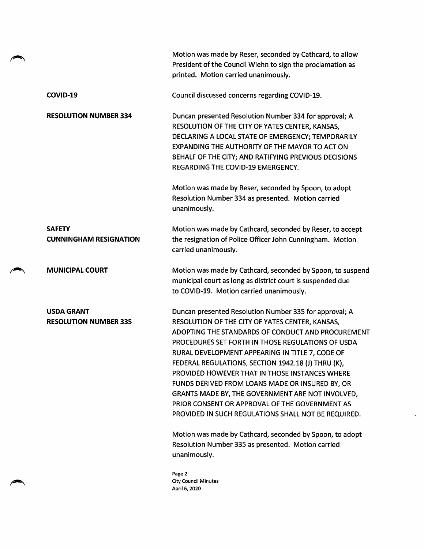|                                                   | Motion was made by Reser, seconded by Cathcard, to allow<br>President of the Council Wiehn to sign the proclamation as<br>printed. Motion carried unanimously.                                                                                                                                                                                                                                                                                                                                                                                                                                 |
|---------------------------------------------------|------------------------------------------------------------------------------------------------------------------------------------------------------------------------------------------------------------------------------------------------------------------------------------------------------------------------------------------------------------------------------------------------------------------------------------------------------------------------------------------------------------------------------------------------------------------------------------------------|
| COVID-19                                          | Council discussed concerns regarding COVID-19.                                                                                                                                                                                                                                                                                                                                                                                                                                                                                                                                                 |
| <b>RESOLUTION NUMBER 334</b>                      | Duncan presented Resolution Number 334 for approval; A<br>RESOLUTION OF THE CITY OF YATES CENTER, KANSAS,<br>DECLARING A LOCAL STATE OF EMERGENCY; TEMPORARILY<br>EXPANDING THE AUTHORITY OF THE MAYOR TO ACT ON<br>BEHALF OF THE CITY; AND RATIFYING PREVIOUS DECISIONS<br>REGARDING THE COVID-19 EMERGENCY.                                                                                                                                                                                                                                                                                  |
|                                                   | Motion was made by Reser, seconded by Spoon, to adopt<br>Resolution Number 334 as presented. Motion carried<br>unanimously.                                                                                                                                                                                                                                                                                                                                                                                                                                                                    |
| <b>SAFETY</b><br><b>CUNNINGHAM RESIGNATION</b>    | Motion was made by Cathcard, seconded by Reser, to accept<br>the resignation of Police Officer John Cunningham. Motion<br>carried unanimously.                                                                                                                                                                                                                                                                                                                                                                                                                                                 |
| <b>MUNICIPAL COURT</b>                            | Motion was made by Cathcard, seconded by Spoon, to suspend<br>municipal court as long as district court is suspended due<br>to COVID-19. Motion carried unanimously.                                                                                                                                                                                                                                                                                                                                                                                                                           |
| <b>USDA GRANT</b><br><b>RESOLUTION NUMBER 335</b> | Duncan presented Resolution Number 335 for approval; A<br>RESOLUTION OF THE CITY OF YATES CENTER, KANSAS,<br>ADOPTING THE STANDARDS OF CONDUCT AND PROCUREMENT<br>PROCEDURES SET FORTH IN THOSE REGULATIONS OF USDA<br>RURAL DEVELOPMENT APPEARING IN TITLE 7, CODE OF<br>FEDERAL REGULATIONS, SECTION 1942.18 (J) THRU (K),<br>PROVIDED HOWEVER THAT IN THOSE INSTANCES WHERE<br>FUNDS DERIVED FROM LOANS MADE OR INSURED BY, OR<br>GRANTS MADE BY, THE GOVERNMENT ARE NOT INVOLVED,<br>PRIOR CONSENT OR APPROVAL OF THE GOVERNMENT AS<br>PROVIDED IN SUCH REGULATIONS SHALL NOT BE REQUIRED. |
|                                                   | Motion was made by Cathcard, seconded by Spoon, to adopt<br>Resolution Number 335 as presented. Motion carried<br>unanimously.                                                                                                                                                                                                                                                                                                                                                                                                                                                                 |
|                                                   | Page 2<br><b>City Council Minutes</b><br>April 6, 2020                                                                                                                                                                                                                                                                                                                                                                                                                                                                                                                                         |

 $\overline{\phantom{a}}$